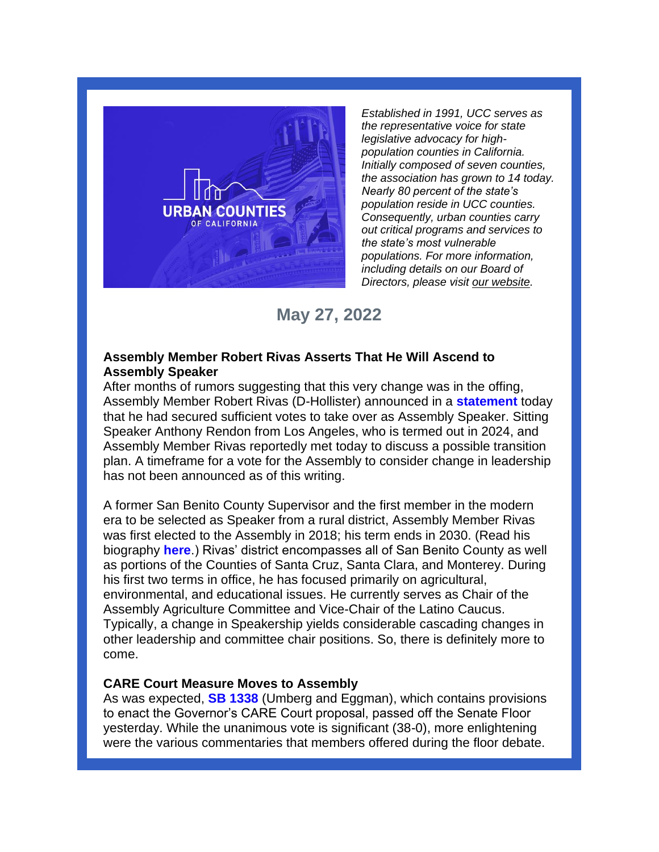

*Established in 1991, UCC serves as the representative voice for state legislative advocacy for highpopulation counties in California. Initially composed of seven counties, the association has grown to 14 today. Nearly 80 percent of the state's population reside in UCC counties. Consequently, urban counties carry out critical programs and services to the state's most vulnerable populations. For more information, including details on our Board of Directors, please visit [our website.](https://urbancounties.com/)*

# **May 27, 2022**

## **Assembly Member Robert Rivas Asserts That He Will Ascend to Assembly Speaker**

After months of rumors suggesting that this very change was in the offing, Assembly Member Robert Rivas (D-Hollister) announced in a **[statement](https://twitter.com/AsmRobertRivas/status/1530264840765247488/photo/1)** today that he had secured sufficient votes to take over as Assembly Speaker. Sitting Speaker Anthony Rendon from Los Angeles, who is termed out in 2024, and Assembly Member Rivas reportedly met today to discuss a possible transition plan. A timeframe for a vote for the Assembly to consider change in leadership has not been announced as of this writing.

A former San Benito County Supervisor and the first member in the modern era to be selected as Speaker from a rural district, Assembly Member Rivas was first elected to the Assembly in 2018; his term ends in 2030. (Read his biography **[here](https://a30.asmdc.org/biography)**.) Rivas' district encompasses all of San Benito County as well as portions of the Counties of Santa Cruz, Santa Clara, and Monterey. During his first two terms in office, he has focused primarily on agricultural, environmental, and educational issues. He currently serves as Chair of the Assembly Agriculture Committee and Vice-Chair of the Latino Caucus. Typically, a change in Speakership yields considerable cascading changes in other leadership and committee chair positions. So, there is definitely more to come.

## **CARE Court Measure Moves to Assembly**

As was expected, **[SB 1338](https://leginfo.legislature.ca.gov/faces/billNavClient.xhtml?bill_id=202120220SB1338)** (Umberg and Eggman), which contains provisions to enact the Governor's CARE Court proposal, passed off the Senate Floor yesterday. While the unanimous vote is significant (38-0), more enlightening were the various commentaries that members offered during the floor debate.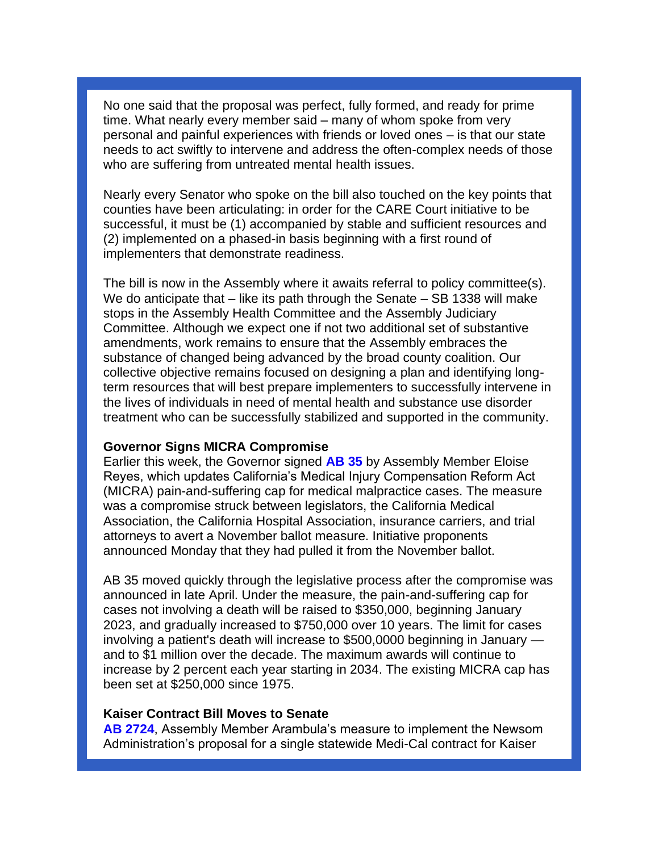No one said that the proposal was perfect, fully formed, and ready for prime time. What nearly every member said – many of whom spoke from very personal and painful experiences with friends or loved ones – is that our state needs to act swiftly to intervene and address the often-complex needs of those who are suffering from untreated mental health issues.

Nearly every Senator who spoke on the bill also touched on the key points that counties have been articulating: in order for the CARE Court initiative to be successful, it must be (1) accompanied by stable and sufficient resources and (2) implemented on a phased-in basis beginning with a first round of implementers that demonstrate readiness.

The bill is now in the Assembly where it awaits referral to policy committee(s). We do anticipate that – like its path through the Senate – SB 1338 will make stops in the Assembly Health Committee and the Assembly Judiciary Committee. Although we expect one if not two additional set of substantive amendments, work remains to ensure that the Assembly embraces the substance of changed being advanced by the broad county coalition. Our collective objective remains focused on designing a plan and identifying longterm resources that will best prepare implementers to successfully intervene in the lives of individuals in need of mental health and substance use disorder treatment who can be successfully stabilized and supported in the community.

#### **Governor Signs MICRA Compromise**

Earlier this week, the Governor signed **[AB 35](https://leginfo.legislature.ca.gov/faces/billNavClient.xhtml?bill_id=202120220AB35)** by Assembly Member Eloise Reyes, which updates California's Medical Injury Compensation Reform Act (MICRA) pain-and-suffering cap for medical malpractice cases. The measure was a compromise struck between legislators, the California Medical Association, the California Hospital Association, insurance carriers, and trial attorneys to avert a November ballot measure. Initiative proponents announced Monday that they had pulled it from the November ballot.

AB 35 moved quickly through the legislative process after the compromise was announced in late April. Under the measure, the pain-and-suffering cap for cases not involving a death will be raised to \$350,000, beginning January 2023, and gradually increased to \$750,000 over 10 years. The limit for cases involving a patient's death will increase to \$500,0000 beginning in January and to \$1 million over the decade. The maximum awards will continue to increase by 2 percent each year starting in 2034. The existing MICRA cap has been set at \$250,000 since 1975.

#### **Kaiser Contract Bill Moves to Senate**

**[AB 2724](https://leginfo.legislature.ca.gov/faces/billNavClient.xhtml?bill_id=202120220AB2724)**, Assembly Member Arambula's measure to implement the Newsom Administration's proposal for a single statewide Medi-Cal contract for Kaiser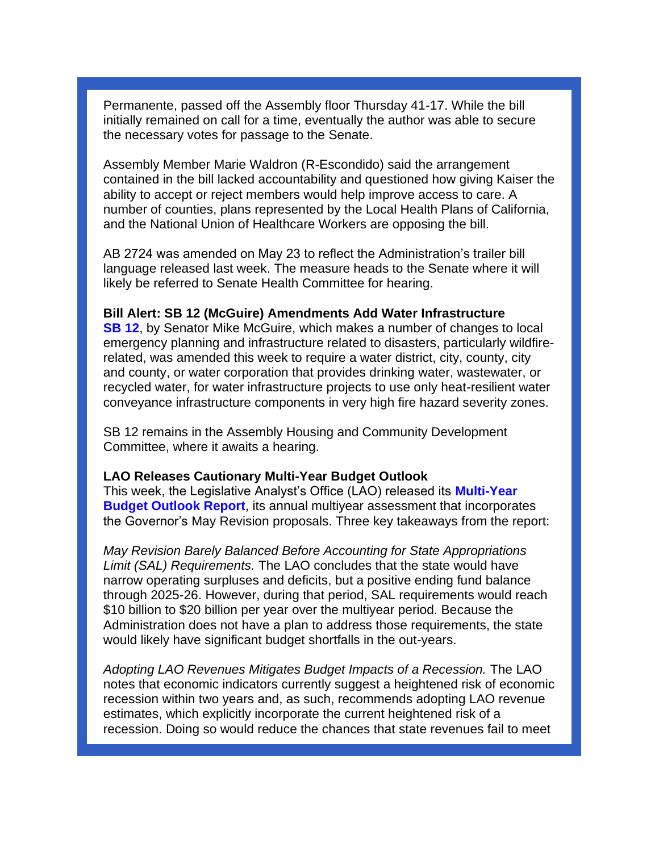Permanente, passed off the Assembly floor Thursday 41-17. While the bill initially remained on call for a time, eventually the author was able to secure the necessary votes for passage to the Senate.

Assembly Member Marie Waldron (R-Escondido) said the arrangement contained in the bill lacked accountability and questioned how giving Kaiser the ability to accept or reject members would help improve access to care. A number of counties, plans represented by the Local Health Plans of California, and the National Union of Healthcare Workers are opposing the bill.

AB 2724 was amended on May 23 to reflect the Administration's trailer bill language released last week. The measure heads to the Senate where it will likely be referred to Senate Health Committee for hearing.

#### **Bill Alert: SB 12 (McGuire) Amendments Add Water Infrastructure**

**[SB 12](https://leginfo.legislature.ca.gov/faces/billNavClient.xhtml?bill_id=202120220SB1298)**, by Senator Mike McGuire, which makes a number of changes to local emergency planning and infrastructure related to disasters, particularly wildfirerelated, was amended this week to require a water district, city, county, city and county, or water corporation that provides drinking water, wastewater, or recycled water, for water infrastructure projects to use only heat-resilient water conveyance infrastructure components in very high fire hazard severity zones.

SB 12 remains in the Assembly Housing and Community Development Committee, where it awaits a hearing.

#### **LAO Releases Cautionary Multi-Year Budget Outlook**

This week, the Legislative Analyst's Office (LAO) released its **[Multi-Year](https://lao.ca.gov/reports/2022/4602/Multiyear-Budget-Outlook-052422.pdf)  [Budget Outlook Report](https://lao.ca.gov/reports/2022/4602/Multiyear-Budget-Outlook-052422.pdf)**, its annual multiyear assessment that incorporates the Governor's May Revision proposals. Three key takeaways from the report:

*May Revision Barely Balanced Before Accounting for State Appropriations Limit (SAL) Requirements.* The LAO concludes that the state would have narrow operating surpluses and deficits, but a positive ending fund balance through 2025-26. However, during that period, SAL requirements would reach \$10 billion to \$20 billion per year over the multiyear period. Because the Administration does not have a plan to address those requirements, the state would likely have significant budget shortfalls in the out-years.

*Adopting LAO Revenues Mitigates Budget Impacts of a Recession.* The LAO notes that economic indicators currently suggest a heightened risk of economic recession within two years and, as such, recommends adopting LAO revenue estimates, which explicitly incorporate the current heightened risk of a recession. Doing so would reduce the chances that state revenues fail to meet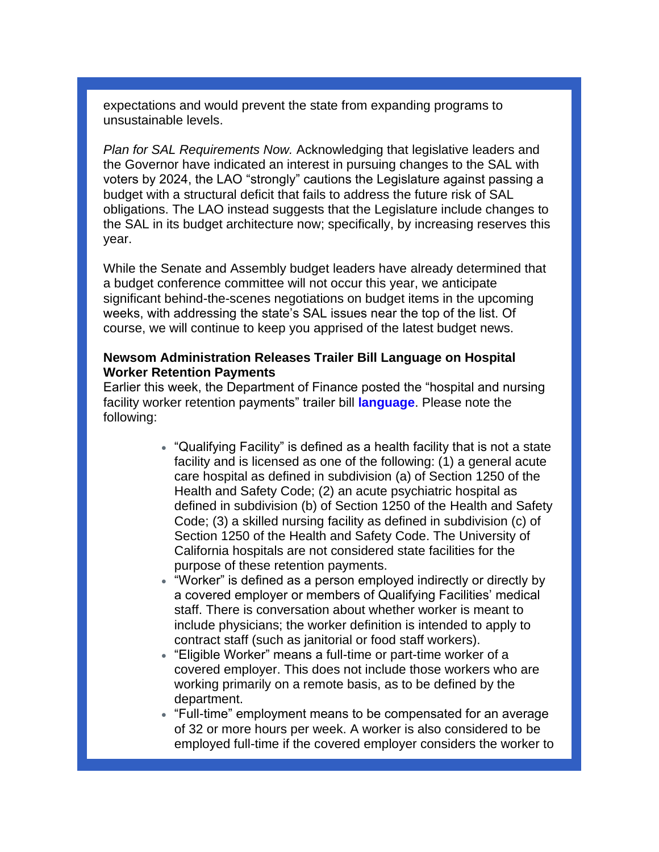expectations and would prevent the state from expanding programs to unsustainable levels.

*Plan for SAL Requirements Now.* Acknowledging that legislative leaders and the Governor have indicated an interest in pursuing changes to the SAL with voters by 2024, the LAO "strongly" cautions the Legislature against passing a budget with a structural deficit that fails to address the future risk of SAL obligations. The LAO instead suggests that the Legislature include changes to the SAL in its budget architecture now; specifically, by increasing reserves this year.

While the Senate and Assembly budget leaders have already determined that a budget conference committee will not occur this year, we anticipate significant behind-the-scenes negotiations on budget items in the upcoming weeks, with addressing the state's SAL issues near the top of the list. Of course, we will continue to keep you apprised of the latest budget news.

### **Newsom Administration Releases Trailer Bill Language on Hospital Worker Retention Payments**

Earlier this week, the Department of Finance posted the "hospital and nursing facility worker retention payments" trailer bill **[language](https://esd.dof.ca.gov/trailer-bill/public/trailerBill/pdf/758)**. Please note the following:

- "Qualifying Facility" is defined as a health facility that is not a state facility and is licensed as one of the following: (1) a general acute care hospital as defined in subdivision (a) of Section 1250 of the Health and Safety Code; (2) an acute psychiatric hospital as defined in subdivision (b) of Section 1250 of the Health and Safety Code; (3) a skilled nursing facility as defined in subdivision (c) of Section 1250 of the Health and Safety Code. The University of California hospitals are not considered state facilities for the purpose of these retention payments.
- "Worker" is defined as a person employed indirectly or directly by a covered employer or members of Qualifying Facilities' medical staff. There is conversation about whether worker is meant to include physicians; the worker definition is intended to apply to contract staff (such as janitorial or food staff workers).
- "Eligible Worker" means a full-time or part-time worker of a covered employer. This does not include those workers who are working primarily on a remote basis, as to be defined by the department.
- "Full-time" employment means to be compensated for an average of 32 or more hours per week. A worker is also considered to be employed full-time if the covered employer considers the worker to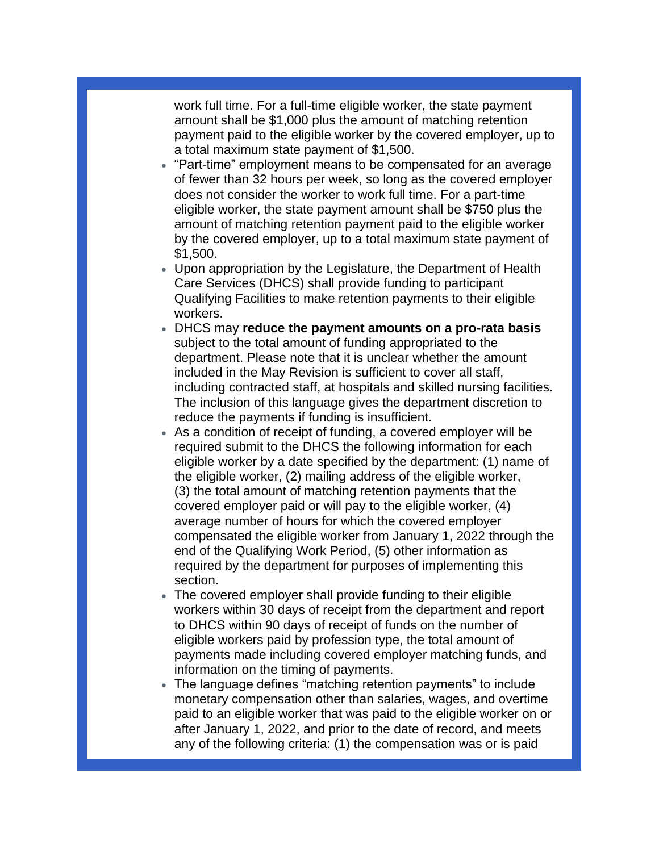work full time. For a full-time eligible worker, the state payment amount shall be \$1,000 plus the amount of matching retention payment paid to the eligible worker by the covered employer, up to a total maximum state payment of \$1,500.

- "Part-time" employment means to be compensated for an average of fewer than 32 hours per week, so long as the covered employer does not consider the worker to work full time. For a part-time eligible worker, the state payment amount shall be \$750 plus the amount of matching retention payment paid to the eligible worker by the covered employer, up to a total maximum state payment of \$1,500.
- Upon appropriation by the Legislature, the Department of Health Care Services (DHCS) shall provide funding to participant Qualifying Facilities to make retention payments to their eligible workers.
- DHCS may **reduce the payment amounts on a pro-rata basis** subject to the total amount of funding appropriated to the department. Please note that it is unclear whether the amount included in the May Revision is sufficient to cover all staff, including contracted staff, at hospitals and skilled nursing facilities. The inclusion of this language gives the department discretion to reduce the payments if funding is insufficient.
- As a condition of receipt of funding, a covered employer will be required submit to the DHCS the following information for each eligible worker by a date specified by the department: (1) name of the eligible worker, (2) mailing address of the eligible worker, (3) the total amount of matching retention payments that the covered employer paid or will pay to the eligible worker, (4) average number of hours for which the covered employer compensated the eligible worker from January 1, 2022 through the end of the Qualifying Work Period, (5) other information as required by the department for purposes of implementing this section.
- The covered employer shall provide funding to their eligible workers within 30 days of receipt from the department and report to DHCS within 90 days of receipt of funds on the number of eligible workers paid by profession type, the total amount of payments made including covered employer matching funds, and information on the timing of payments.
- The language defines "matching retention payments" to include monetary compensation other than salaries, wages, and overtime paid to an eligible worker that was paid to the eligible worker on or after January 1, 2022, and prior to the date of record, and meets any of the following criteria: (1) the compensation was or is paid